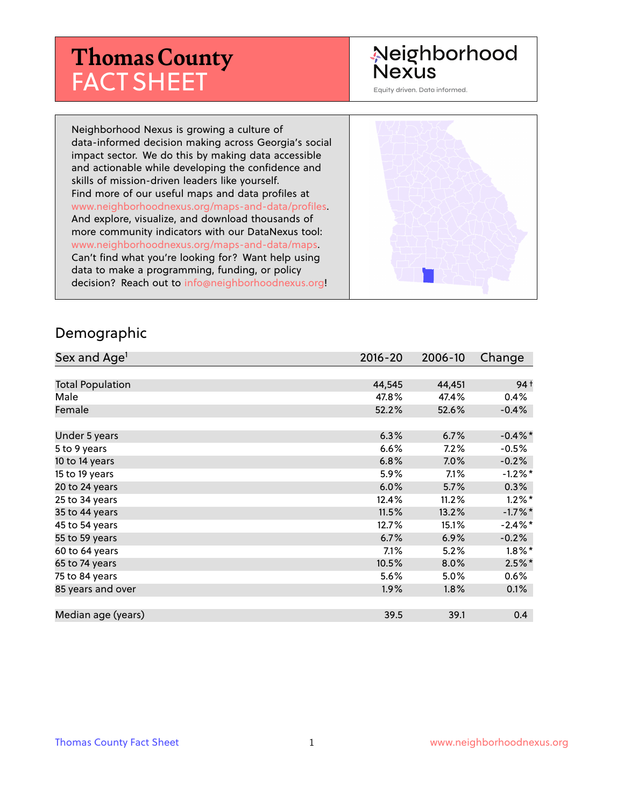# **Thomas County** FACT SHEET

# Neighborhood **Nexus**

Equity driven. Data informed.

Neighborhood Nexus is growing a culture of data-informed decision making across Georgia's social impact sector. We do this by making data accessible and actionable while developing the confidence and skills of mission-driven leaders like yourself. Find more of our useful maps and data profiles at www.neighborhoodnexus.org/maps-and-data/profiles. And explore, visualize, and download thousands of more community indicators with our DataNexus tool: www.neighborhoodnexus.org/maps-and-data/maps. Can't find what you're looking for? Want help using data to make a programming, funding, or policy decision? Reach out to [info@neighborhoodnexus.org!](mailto:info@neighborhoodnexus.org)



#### Demographic

| Sex and Age <sup>1</sup> | $2016 - 20$ | 2006-10 | Change          |
|--------------------------|-------------|---------|-----------------|
|                          |             |         |                 |
| <b>Total Population</b>  | 44,545      | 44,451  | 94 <sup>†</sup> |
| Male                     | 47.8%       | 47.4%   | 0.4%            |
| Female                   | 52.2%       | 52.6%   | $-0.4%$         |
|                          |             |         |                 |
| Under 5 years            | 6.3%        | 6.7%    | $-0.4\%$ *      |
| 5 to 9 years             | 6.6%        | 7.2%    | $-0.5%$         |
| 10 to 14 years           | 6.8%        | 7.0%    | $-0.2%$         |
| 15 to 19 years           | 5.9%        | 7.1%    | $-1.2\%$ *      |
| 20 to 24 years           | 6.0%        | 5.7%    | 0.3%            |
| 25 to 34 years           | 12.4%       | 11.2%   | $1.2\%$ *       |
| 35 to 44 years           | 11.5%       | 13.2%   | $-1.7%$ *       |
| 45 to 54 years           | 12.7%       | 15.1%   | $-2.4\%$ *      |
| 55 to 59 years           | 6.7%        | 6.9%    | $-0.2%$         |
| 60 to 64 years           | 7.1%        | 5.2%    | $1.8\%$ *       |
| 65 to 74 years           | 10.5%       | 8.0%    | $2.5%$ *        |
| 75 to 84 years           | 5.6%        | 5.0%    | $0.6\%$         |
| 85 years and over        | $1.9\%$     | 1.8%    | 0.1%            |
|                          |             |         |                 |
| Median age (years)       | 39.5        | 39.1    | 0.4             |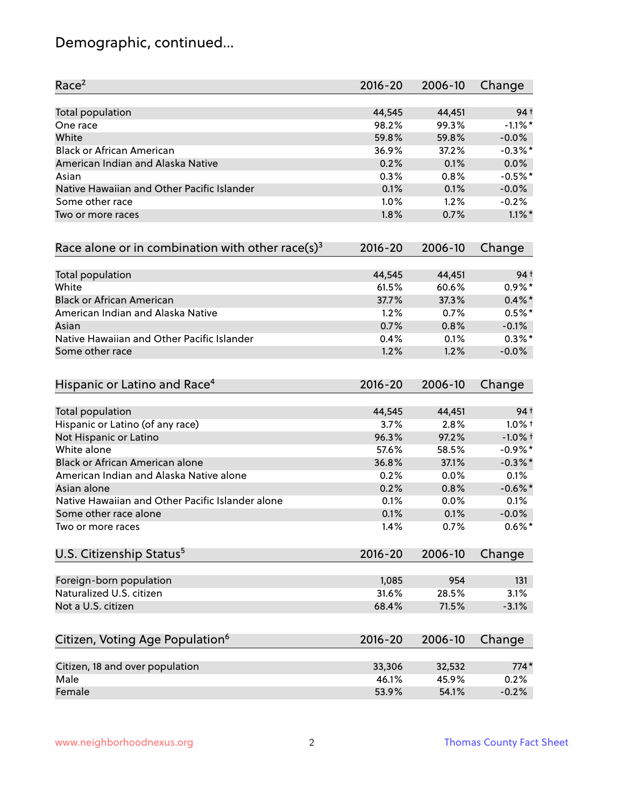# Demographic, continued...

| Race <sup>2</sup>                                   | $2016 - 20$ | 2006-10 | Change          |
|-----------------------------------------------------|-------------|---------|-----------------|
| <b>Total population</b>                             | 44,545      | 44,451  | 94 <sup>†</sup> |
| One race                                            | 98.2%       | 99.3%   | $-1.1\%$ *      |
| White                                               | 59.8%       | 59.8%   | $-0.0%$         |
| <b>Black or African American</b>                    | 36.9%       | 37.2%   | $-0.3\%$ *      |
| American Indian and Alaska Native                   | 0.2%        | 0.1%    | 0.0%            |
| Asian                                               | 0.3%        | 0.8%    | $-0.5%$ *       |
| Native Hawaiian and Other Pacific Islander          | 0.1%        | 0.1%    | $-0.0%$         |
| Some other race                                     | 1.0%        | 1.2%    | $-0.2%$         |
| Two or more races                                   | 1.8%        | 0.7%    | $1.1\%$ *       |
| Race alone or in combination with other race(s) $3$ | $2016 - 20$ | 2006-10 | Change          |
| Total population                                    | 44,545      | 44,451  | 94 <sup>†</sup> |
| White                                               | 61.5%       | 60.6%   | $0.9\% *$       |
| <b>Black or African American</b>                    | 37.7%       | 37.3%   | $0.4\%$ *       |
| American Indian and Alaska Native                   | 1.2%        | 0.7%    | $0.5%$ *        |
| Asian                                               | 0.7%        | 0.8%    | $-0.1%$         |
| Native Hawaiian and Other Pacific Islander          | 0.4%        | 0.1%    | $0.3\%$ *       |
| Some other race                                     | 1.2%        | 1.2%    | $-0.0%$         |
| Hispanic or Latino and Race <sup>4</sup>            | $2016 - 20$ | 2006-10 | Change          |
| <b>Total population</b>                             | 44,545      | 44,451  | 94 <sup>†</sup> |
| Hispanic or Latino (of any race)                    | 3.7%        | 2.8%    | $1.0\%$ †       |
| Not Hispanic or Latino                              | 96.3%       | 97.2%   | $-1.0\%$ †      |
| White alone                                         | 57.6%       | 58.5%   | $-0.9%$ *       |
| Black or African American alone                     | 36.8%       | 37.1%   | $-0.3\%$ *      |
| American Indian and Alaska Native alone             | 0.2%        | 0.0%    | 0.1%            |
| Asian alone                                         | 0.2%        | 0.8%    | $-0.6\%$ *      |
| Native Hawaiian and Other Pacific Islander alone    | 0.1%        | 0.0%    | 0.1%            |
| Some other race alone                               | 0.1%        | 0.1%    | $-0.0\%$        |
| Two or more races                                   | 1.4%        | 0.7%    | $0.6\%$ *       |
| U.S. Citizenship Status <sup>5</sup>                | $2016 - 20$ | 2006-10 | Change          |
| Foreign-born population                             | 1,085       | 954     | 131             |
| Naturalized U.S. citizen                            | 31.6%       | 28.5%   | 3.1%            |
| Not a U.S. citizen                                  | 68.4%       | 71.5%   | $-3.1%$         |
|                                                     |             |         |                 |
| Citizen, Voting Age Population <sup>6</sup>         | $2016 - 20$ | 2006-10 | Change          |
| Citizen, 18 and over population                     | 33,306      | 32,532  | $774*$          |
| Male                                                | 46.1%       | 45.9%   | 0.2%            |
| Female                                              | 53.9%       | 54.1%   | $-0.2%$         |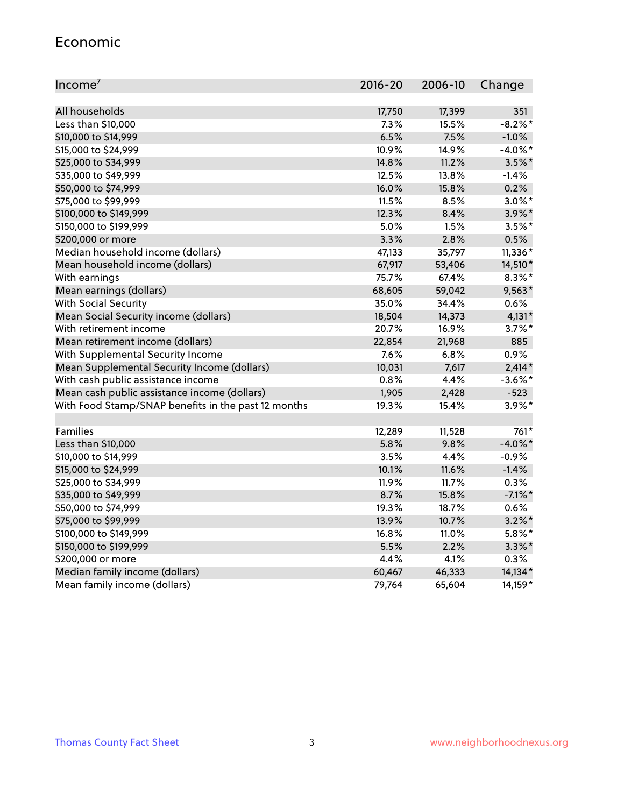#### Economic

| Income <sup>7</sup>                                 | 2016-20 | 2006-10 | Change     |
|-----------------------------------------------------|---------|---------|------------|
|                                                     |         |         |            |
| All households                                      | 17,750  | 17,399  | 351        |
| Less than \$10,000                                  | 7.3%    | 15.5%   | $-8.2\%$ * |
| \$10,000 to \$14,999                                | 6.5%    | 7.5%    | $-1.0%$    |
| \$15,000 to \$24,999                                | 10.9%   | 14.9%   | $-4.0\%$ * |
| \$25,000 to \$34,999                                | 14.8%   | 11.2%   | $3.5\%$ *  |
| \$35,000 to \$49,999                                | 12.5%   | 13.8%   | $-1.4%$    |
| \$50,000 to \$74,999                                | 16.0%   | 15.8%   | 0.2%       |
| \$75,000 to \$99,999                                | 11.5%   | 8.5%    | $3.0\%$ *  |
| \$100,000 to \$149,999                              | 12.3%   | 8.4%    | 3.9%*      |
| \$150,000 to \$199,999                              | 5.0%    | 1.5%    | $3.5%$ *   |
| \$200,000 or more                                   | 3.3%    | 2.8%    | 0.5%       |
| Median household income (dollars)                   | 47,133  | 35,797  | 11,336*    |
| Mean household income (dollars)                     | 67,917  | 53,406  | 14,510*    |
| With earnings                                       | 75.7%   | 67.4%   | $8.3\%$ *  |
| Mean earnings (dollars)                             | 68,605  | 59,042  | $9,563*$   |
| <b>With Social Security</b>                         | 35.0%   | 34.4%   | 0.6%       |
| Mean Social Security income (dollars)               | 18,504  | 14,373  | $4,131*$   |
| With retirement income                              | 20.7%   | 16.9%   | $3.7\%$ *  |
| Mean retirement income (dollars)                    | 22,854  | 21,968  | 885        |
| With Supplemental Security Income                   | 7.6%    | 6.8%    | 0.9%       |
| Mean Supplemental Security Income (dollars)         | 10,031  | 7,617   | $2,414*$   |
| With cash public assistance income                  | 0.8%    | 4.4%    | $-3.6\%$ * |
| Mean cash public assistance income (dollars)        | 1,905   | 2,428   | $-523$     |
| With Food Stamp/SNAP benefits in the past 12 months | 19.3%   | 15.4%   | $3.9\%$ *  |
|                                                     |         |         |            |
| Families                                            | 12,289  | 11,528  | 761*       |
| Less than \$10,000                                  | 5.8%    | 9.8%    | $-4.0\%$ * |
| \$10,000 to \$14,999                                | 3.5%    | 4.4%    | $-0.9%$    |
| \$15,000 to \$24,999                                | 10.1%   | 11.6%   | $-1.4%$    |
| \$25,000 to \$34,999                                | 11.9%   | 11.7%   | 0.3%       |
| \$35,000 to \$49,999                                | 8.7%    | 15.8%   | $-7.1\%$ * |
| \$50,000 to \$74,999                                | 19.3%   | 18.7%   | 0.6%       |
| \$75,000 to \$99,999                                | 13.9%   | 10.7%   | $3.2\%$ *  |
| \$100,000 to \$149,999                              | 16.8%   | 11.0%   | $5.8\%$ *  |
| \$150,000 to \$199,999                              | 5.5%    | 2.2%    | $3.3\%$ *  |
| \$200,000 or more                                   | 4.4%    | 4.1%    | 0.3%       |
| Median family income (dollars)                      | 60,467  | 46,333  | 14,134*    |
| Mean family income (dollars)                        | 79,764  | 65,604  | 14,159*    |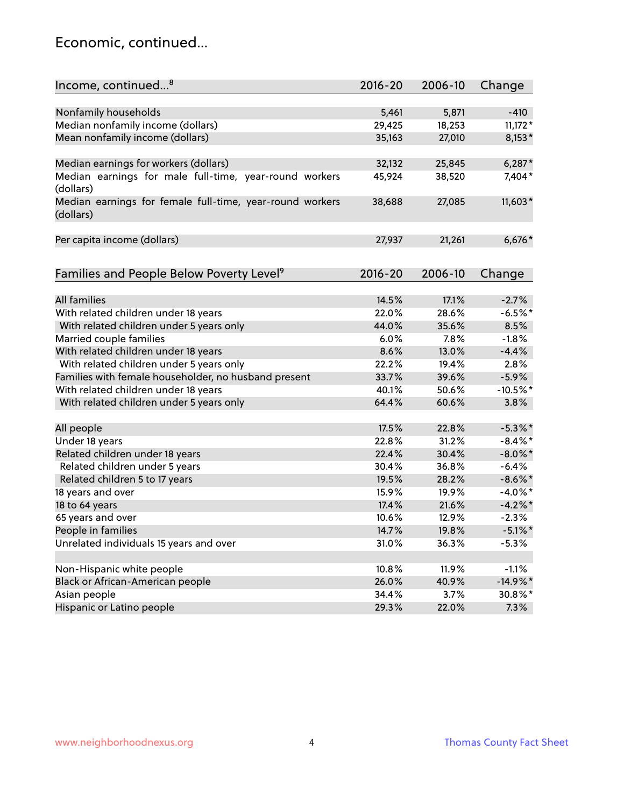## Economic, continued...

| Income, continued <sup>8</sup>                                        | $2016 - 20$ | 2006-10 | Change     |
|-----------------------------------------------------------------------|-------------|---------|------------|
|                                                                       |             |         |            |
| Nonfamily households                                                  | 5,461       | 5,871   | $-410$     |
| Median nonfamily income (dollars)                                     | 29,425      | 18,253  | $11,172*$  |
| Mean nonfamily income (dollars)                                       | 35,163      | 27,010  | $8,153*$   |
| Median earnings for workers (dollars)                                 | 32,132      | 25,845  | $6,287*$   |
| Median earnings for male full-time, year-round workers                | 45,924      | 38,520  | 7,404*     |
| (dollars)                                                             |             |         |            |
| Median earnings for female full-time, year-round workers<br>(dollars) | 38,688      | 27,085  | $11,603*$  |
| Per capita income (dollars)                                           | 27,937      | 21,261  | $6,676*$   |
|                                                                       |             |         |            |
| Families and People Below Poverty Level <sup>9</sup>                  | 2016-20     | 2006-10 | Change     |
|                                                                       |             |         |            |
| <b>All families</b>                                                   | 14.5%       | 17.1%   | $-2.7%$    |
| With related children under 18 years                                  | 22.0%       | 28.6%   | $-6.5%$ *  |
| With related children under 5 years only                              | 44.0%       | 35.6%   | 8.5%       |
| Married couple families                                               | 6.0%        | 7.8%    | $-1.8%$    |
| With related children under 18 years                                  | 8.6%        | 13.0%   | $-4.4%$    |
| With related children under 5 years only                              | 22.2%       | 19.4%   | 2.8%       |
| Families with female householder, no husband present                  | 33.7%       | 39.6%   | $-5.9%$    |
| With related children under 18 years                                  | 40.1%       | 50.6%   | $-10.5%$ * |
| With related children under 5 years only                              | 64.4%       | 60.6%   | 3.8%       |
| All people                                                            | 17.5%       | 22.8%   | $-5.3\%$ * |
| Under 18 years                                                        | 22.8%       | 31.2%   | $-8.4\%$ * |
| Related children under 18 years                                       | 22.4%       | 30.4%   | $-8.0\%$ * |
| Related children under 5 years                                        | 30.4%       | 36.8%   | $-6.4%$    |
| Related children 5 to 17 years                                        | 19.5%       | 28.2%   | $-8.6\%$ * |
| 18 years and over                                                     | 15.9%       | 19.9%   | $-4.0\%$ * |
| 18 to 64 years                                                        | 17.4%       | 21.6%   | $-4.2%$ *  |
| 65 years and over                                                     | 10.6%       | 12.9%   | $-2.3%$    |
| People in families                                                    | 14.7%       | 19.8%   | $-5.1\%$ * |
| Unrelated individuals 15 years and over                               | 31.0%       | 36.3%   | $-5.3%$    |
|                                                                       |             |         |            |
| Non-Hispanic white people                                             | 10.8%       | 11.9%   | $-1.1%$    |
| Black or African-American people                                      | 26.0%       | 40.9%   | $-14.9%$ * |
| Asian people                                                          | 34.4%       | 3.7%    | 30.8%*     |
| Hispanic or Latino people                                             | 29.3%       | 22.0%   | 7.3%       |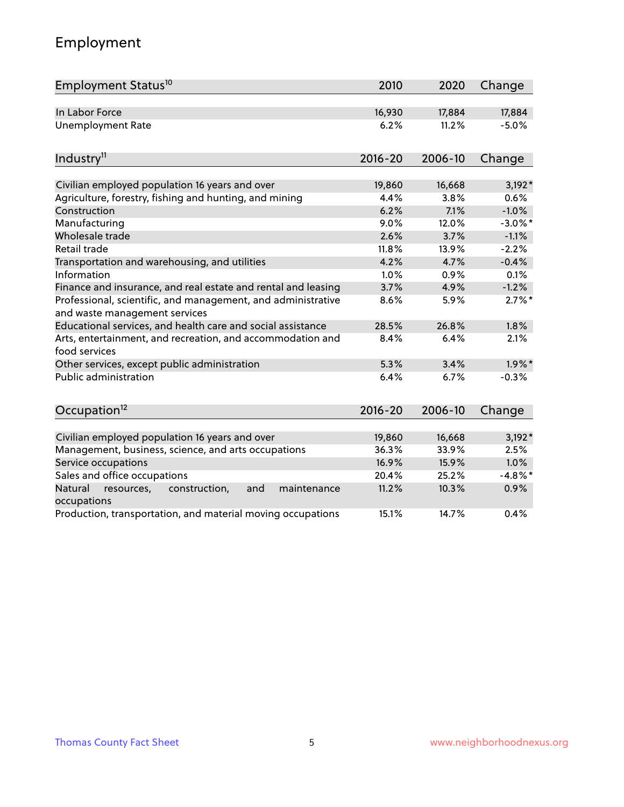# Employment

| Employment Status <sup>10</sup>                                                               | 2010        | 2020    | Change     |
|-----------------------------------------------------------------------------------------------|-------------|---------|------------|
| In Labor Force                                                                                | 16,930      | 17,884  | 17,884     |
| <b>Unemployment Rate</b>                                                                      | 6.2%        | 11.2%   | $-5.0%$    |
| Industry <sup>11</sup>                                                                        | $2016 - 20$ | 2006-10 | Change     |
| Civilian employed population 16 years and over                                                | 19,860      | 16,668  | $3,192*$   |
| Agriculture, forestry, fishing and hunting, and mining                                        | 4.4%        | 3.8%    | 0.6%       |
| Construction                                                                                  | 6.2%        | 7.1%    | $-1.0%$    |
| Manufacturing                                                                                 | 9.0%        | 12.0%   | $-3.0\%$ * |
| Wholesale trade                                                                               | 2.6%        | 3.7%    | $-1.1%$    |
| Retail trade                                                                                  | 11.8%       | 13.9%   | $-2.2%$    |
| Transportation and warehousing, and utilities                                                 | 4.2%        | 4.7%    | $-0.4%$    |
| Information                                                                                   | 1.0%        | 0.9%    | 0.1%       |
| Finance and insurance, and real estate and rental and leasing                                 | 3.7%        | 4.9%    | $-1.2%$    |
| Professional, scientific, and management, and administrative<br>and waste management services | 8.6%        | 5.9%    | $2.7\%$ *  |
| Educational services, and health care and social assistance                                   | 28.5%       | 26.8%   | 1.8%       |
| Arts, entertainment, and recreation, and accommodation and<br>food services                   | 8.4%        | 6.4%    | 2.1%       |
| Other services, except public administration                                                  | 5.3%        | 3.4%    | $1.9\%$ *  |
| <b>Public administration</b>                                                                  | 6.4%        | 6.7%    | $-0.3%$    |
| Occupation <sup>12</sup>                                                                      | $2016 - 20$ | 2006-10 | Change     |
|                                                                                               |             |         |            |
| Civilian employed population 16 years and over                                                | 19,860      | 16,668  | $3,192*$   |
| Management, business, science, and arts occupations                                           | 36.3%       | 33.9%   | 2.5%       |
| Service occupations                                                                           | 16.9%       | 15.9%   | 1.0%       |
| Sales and office occupations                                                                  | 20.4%       | 25.2%   | $-4.8\%$ * |
| Natural<br>construction,<br>and<br>maintenance<br>resources,<br>occupations                   | 11.2%       | 10.3%   | 0.9%       |
| Production, transportation, and material moving occupations                                   | 15.1%       | 14.7%   | 0.4%       |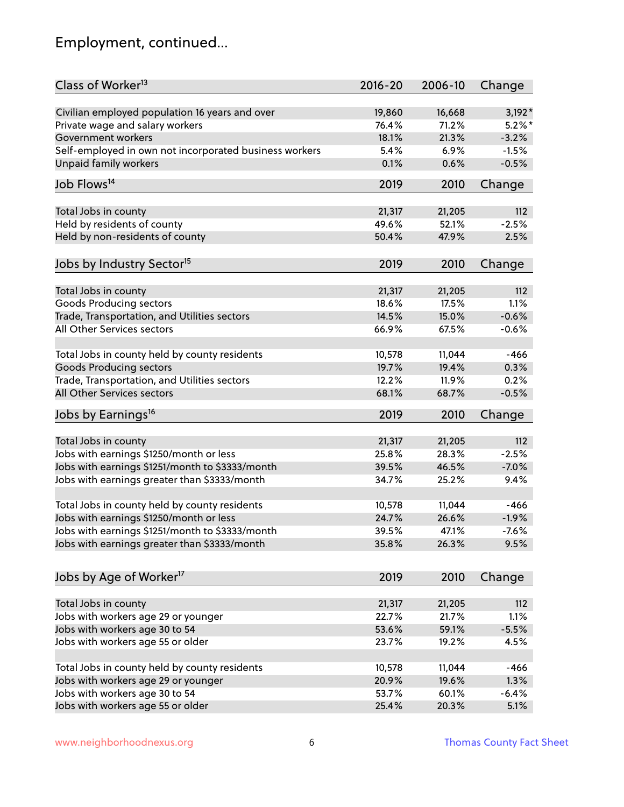# Employment, continued...

| Class of Worker <sup>13</sup>                          | $2016 - 20$ | 2006-10 | Change    |
|--------------------------------------------------------|-------------|---------|-----------|
| Civilian employed population 16 years and over         | 19,860      | 16,668  | $3,192*$  |
| Private wage and salary workers                        | 76.4%       | 71.2%   | $5.2\%$ * |
| Government workers                                     | 18.1%       | 21.3%   | $-3.2%$   |
| Self-employed in own not incorporated business workers | 5.4%        | 6.9%    | $-1.5%$   |
| Unpaid family workers                                  | 0.1%        | 0.6%    | $-0.5%$   |
| Job Flows <sup>14</sup>                                | 2019        | 2010    | Change    |
|                                                        |             |         |           |
| Total Jobs in county                                   | 21,317      | 21,205  | 112       |
| Held by residents of county                            | 49.6%       | 52.1%   | $-2.5%$   |
| Held by non-residents of county                        | 50.4%       | 47.9%   | 2.5%      |
| Jobs by Industry Sector <sup>15</sup>                  | 2019        | 2010    | Change    |
| Total Jobs in county                                   | 21,317      | 21,205  | 112       |
| Goods Producing sectors                                | 18.6%       | 17.5%   | 1.1%      |
| Trade, Transportation, and Utilities sectors           | 14.5%       | 15.0%   | $-0.6%$   |
| All Other Services sectors                             | 66.9%       | 67.5%   | $-0.6%$   |
|                                                        |             |         |           |
| Total Jobs in county held by county residents          | 10,578      | 11,044  | $-466$    |
| <b>Goods Producing sectors</b>                         | 19.7%       | 19.4%   | 0.3%      |
| Trade, Transportation, and Utilities sectors           | 12.2%       | 11.9%   | 0.2%      |
| All Other Services sectors                             | 68.1%       | 68.7%   | $-0.5%$   |
| Jobs by Earnings <sup>16</sup>                         | 2019        | 2010    | Change    |
|                                                        |             |         |           |
| Total Jobs in county                                   | 21,317      | 21,205  | 112       |
| Jobs with earnings \$1250/month or less                | 25.8%       | 28.3%   | $-2.5%$   |
| Jobs with earnings \$1251/month to \$3333/month        | 39.5%       | 46.5%   | $-7.0%$   |
| Jobs with earnings greater than \$3333/month           | 34.7%       | 25.2%   | 9.4%      |
| Total Jobs in county held by county residents          | 10,578      | 11,044  | $-466$    |
| Jobs with earnings \$1250/month or less                | 24.7%       | 26.6%   | $-1.9%$   |
| Jobs with earnings \$1251/month to \$3333/month        | 39.5%       | 47.1%   | -7.6%     |
| Jobs with earnings greater than \$3333/month           | 35.8%       | 26.3%   | 9.5%      |
| Jobs by Age of Worker <sup>17</sup>                    | 2019        | 2010    | Change    |
|                                                        |             |         |           |
| Total Jobs in county                                   | 21,317      | 21,205  | 112       |
| Jobs with workers age 29 or younger                    | 22.7%       | 21.7%   | 1.1%      |
| Jobs with workers age 30 to 54                         | 53.6%       | 59.1%   | $-5.5%$   |
| Jobs with workers age 55 or older                      | 23.7%       | 19.2%   | 4.5%      |
|                                                        |             |         |           |
| Total Jobs in county held by county residents          | 10,578      | 11,044  | $-466$    |
| Jobs with workers age 29 or younger                    | 20.9%       | 19.6%   | 1.3%      |
| Jobs with workers age 30 to 54                         | 53.7%       | 60.1%   | $-6.4%$   |
| Jobs with workers age 55 or older                      | 25.4%       | 20.3%   | 5.1%      |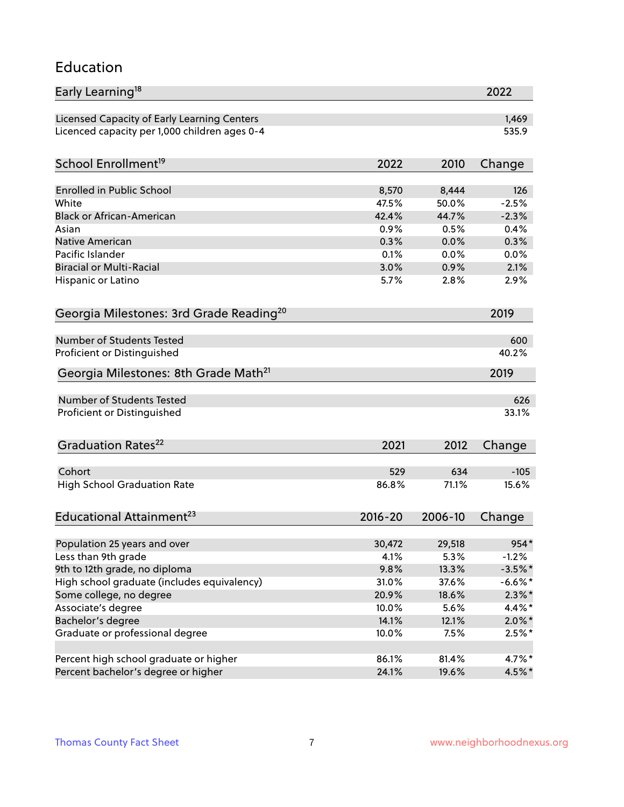### Education

| Early Learning <sup>18</sup>                        |             |         | 2022      |
|-----------------------------------------------------|-------------|---------|-----------|
| Licensed Capacity of Early Learning Centers         |             |         | 1,469     |
| Licenced capacity per 1,000 children ages 0-4       |             |         | 535.9     |
|                                                     |             |         |           |
| School Enrollment <sup>19</sup>                     | 2022        | 2010    | Change    |
| <b>Enrolled in Public School</b>                    | 8,570       | 8,444   | 126       |
| White                                               | 47.5%       | 50.0%   | $-2.5%$   |
| <b>Black or African-American</b>                    | 42.4%       | 44.7%   | $-2.3%$   |
| Asian                                               | 0.9%        | 0.5%    | 0.4%      |
| Native American                                     | 0.3%        | 0.0%    | 0.3%      |
| Pacific Islander                                    | 0.1%        | 0.0%    | 0.0%      |
| <b>Biracial or Multi-Racial</b>                     | 3.0%        | 0.9%    | 2.1%      |
| Hispanic or Latino                                  | 5.7%        | 2.8%    | 2.9%      |
| Georgia Milestones: 3rd Grade Reading <sup>20</sup> |             |         | 2019      |
|                                                     |             |         |           |
| <b>Number of Students Tested</b>                    |             |         | 600       |
| Proficient or Distinguished                         |             |         | 40.2%     |
| Georgia Milestones: 8th Grade Math <sup>21</sup>    |             |         | 2019      |
| Number of Students Tested                           |             |         | 626       |
| Proficient or Distinguished                         |             |         | 33.1%     |
|                                                     |             |         |           |
| Graduation Rates <sup>22</sup>                      | 2021        | 2012    | Change    |
|                                                     |             |         |           |
| Cohort                                              | 529         | 634     | $-105$    |
| <b>High School Graduation Rate</b>                  | 86.8%       | 71.1%   | 15.6%     |
| Educational Attainment <sup>23</sup>                | $2016 - 20$ | 2006-10 | Change    |
|                                                     |             |         |           |
| Population 25 years and over                        | 30,472      | 29,518  | 954*      |
| Less than 9th grade                                 | 4.1%        | 5.3%    | $-1.2%$   |
| 9th to 12th grade, no diploma                       | 9.8%        | 13.3%   | $-3.5%$ * |
| High school graduate (includes equivalency)         | 31.0%       | 37.6%   | $-6.6%$ * |
| Some college, no degree                             | 20.9%       | 18.6%   | $2.3\%$ * |
| Associate's degree                                  | 10.0%       | 5.6%    | 4.4%*     |
| Bachelor's degree                                   | 14.1%       | 12.1%   | $2.0\%$ * |
| Graduate or professional degree                     | 10.0%       | 7.5%    | $2.5%$ *  |
| Percent high school graduate or higher              | 86.1%       | 81.4%   | 4.7%*     |
| Percent bachelor's degree or higher                 | 24.1%       | 19.6%   | 4.5%*     |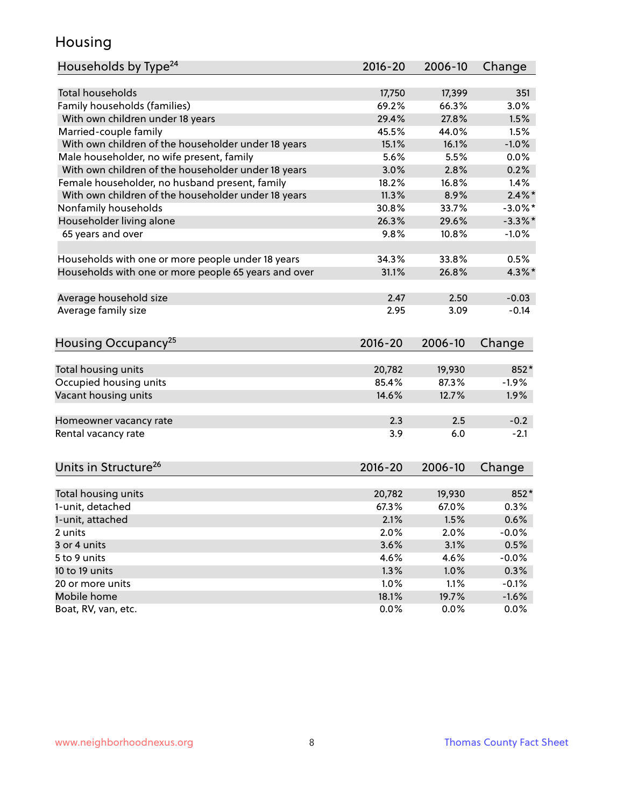## Housing

| Households by Type <sup>24</sup>                     | $2016 - 20$ | 2006-10 | Change     |
|------------------------------------------------------|-------------|---------|------------|
|                                                      |             |         |            |
| <b>Total households</b>                              | 17,750      | 17,399  | 351        |
| Family households (families)                         | 69.2%       | 66.3%   | 3.0%       |
| With own children under 18 years                     | 29.4%       | 27.8%   | 1.5%       |
| Married-couple family                                | 45.5%       | 44.0%   | 1.5%       |
| With own children of the householder under 18 years  | 15.1%       | 16.1%   | $-1.0%$    |
| Male householder, no wife present, family            | 5.6%        | 5.5%    | 0.0%       |
| With own children of the householder under 18 years  | 3.0%        | 2.8%    | 0.2%       |
| Female householder, no husband present, family       | 18.2%       | 16.8%   | 1.4%       |
| With own children of the householder under 18 years  | 11.3%       | 8.9%    | $2.4\%$ *  |
| Nonfamily households                                 | 30.8%       | 33.7%   | $-3.0\%$ * |
| Householder living alone                             | 26.3%       | 29.6%   | $-3.3\%$ * |
| 65 years and over                                    | 9.8%        | 10.8%   | $-1.0%$    |
| Households with one or more people under 18 years    | 34.3%       | 33.8%   | 0.5%       |
| Households with one or more people 65 years and over | 31.1%       | 26.8%   | $4.3\%$ *  |
|                                                      |             |         |            |
| Average household size                               | 2.47        | 2.50    | $-0.03$    |
| Average family size                                  | 2.95        | 3.09    | $-0.14$    |
| Housing Occupancy <sup>25</sup>                      | $2016 - 20$ | 2006-10 | Change     |
|                                                      |             |         |            |
| Total housing units                                  | 20,782      | 19,930  | 852*       |
| Occupied housing units                               | 85.4%       | 87.3%   | $-1.9%$    |
| Vacant housing units                                 | 14.6%       | 12.7%   | 1.9%       |
| Homeowner vacancy rate                               | 2.3         | 2.5     | $-0.2$     |
| Rental vacancy rate                                  | 3.9         | 6.0     | $-2.1$     |
|                                                      |             |         |            |
| Units in Structure <sup>26</sup>                     | $2016 - 20$ | 2006-10 | Change     |
| Total housing units                                  | 20,782      | 19,930  | 852*       |
| 1-unit, detached                                     | 67.3%       | 67.0%   | 0.3%       |
| 1-unit, attached                                     | 2.1%        | 1.5%    | 0.6%       |
| 2 units                                              | 2.0%        | 2.0%    | $-0.0%$    |
| 3 or 4 units                                         | 3.6%        | 3.1%    | 0.5%       |
|                                                      |             |         |            |
| 5 to 9 units                                         | 4.6%        | 4.6%    | $-0.0%$    |
| 10 to 19 units                                       | 1.3%        | 1.0%    | 0.3%       |
| 20 or more units                                     | 1.0%        | 1.1%    | $-0.1%$    |
| Mobile home                                          | 18.1%       | 19.7%   | $-1.6%$    |
| Boat, RV, van, etc.                                  | 0.0%        | 0.0%    | 0.0%       |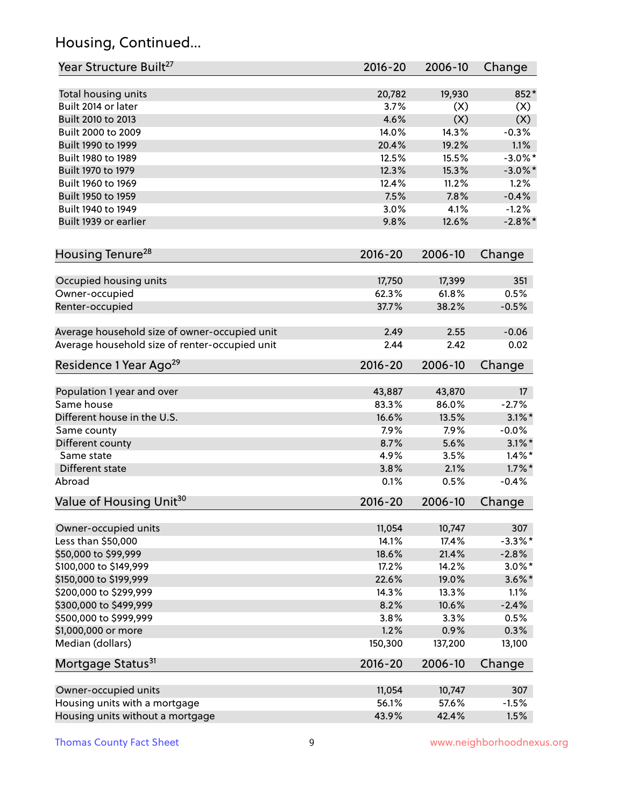# Housing, Continued...

| Year Structure Built <sup>27</sup>             | 2016-20        | 2006-10       | Change          |
|------------------------------------------------|----------------|---------------|-----------------|
|                                                |                |               | 852*            |
| Total housing units<br>Built 2014 or later     | 20,782<br>3.7% | 19,930<br>(X) |                 |
| Built 2010 to 2013                             | 4.6%           | (X)           | (X)<br>(X)      |
| Built 2000 to 2009                             | 14.0%          | 14.3%         | $-0.3%$         |
| Built 1990 to 1999                             | 20.4%          | 19.2%         | 1.1%            |
|                                                | 12.5%          |               | $-3.0\%$ *      |
| Built 1980 to 1989                             |                | 15.5%         |                 |
| Built 1970 to 1979                             | 12.3%<br>12.4% | 15.3%         | $-3.0\%$ *      |
| Built 1960 to 1969<br>Built 1950 to 1959       | 7.5%           | 11.2%         | 1.2%<br>$-0.4%$ |
| Built 1940 to 1949                             | 3.0%           | 7.8%<br>4.1%  | $-1.2%$         |
|                                                |                |               |                 |
| Built 1939 or earlier                          | 9.8%           | 12.6%         | $-2.8\%$ *      |
| Housing Tenure <sup>28</sup>                   | $2016 - 20$    | 2006-10       | Change          |
|                                                |                |               |                 |
| Occupied housing units                         | 17,750         | 17,399        | 351             |
| Owner-occupied                                 | 62.3%          | 61.8%         | 0.5%            |
| Renter-occupied                                | 37.7%          | 38.2%         | $-0.5%$         |
| Average household size of owner-occupied unit  | 2.49           | 2.55          | $-0.06$         |
| Average household size of renter-occupied unit | 2.44           | 2.42          | 0.02            |
| Residence 1 Year Ago <sup>29</sup>             | 2016-20        | 2006-10       | Change          |
| Population 1 year and over                     | 43,887         | 43,870        | 17 <sup>2</sup> |
| Same house                                     | 83.3%          | 86.0%         | $-2.7%$         |
| Different house in the U.S.                    | 16.6%          | 13.5%         | $3.1\%$ *       |
| Same county                                    | 7.9%           | 7.9%          | $-0.0%$         |
| Different county                               | 8.7%           | 5.6%          | $3.1\%$ *       |
| Same state                                     | 4.9%           | 3.5%          | $1.4\%$ *       |
| Different state                                | 3.8%           | 2.1%          | $1.7\%$ *       |
| Abroad                                         | 0.1%           | 0.5%          | $-0.4%$         |
| Value of Housing Unit <sup>30</sup>            | 2016-20        | 2006-10       | Change          |
|                                                |                |               |                 |
| Owner-occupied units                           | 11,054         | 10,747        | 307             |
| Less than \$50,000                             | 14.1%          | 17.4%         | $-3.3\%$ *      |
| \$50,000 to \$99,999                           | 18.6%          | 21.4%         | $-2.8%$         |
| \$100,000 to \$149,999                         | 17.2%          | 14.2%         | $3.0\%$ *       |
| \$150,000 to \$199,999                         | 22.6%          | 19.0%         | $3.6\%$ *       |
| \$200,000 to \$299,999                         | 14.3%          | 13.3%         | 1.1%            |
| \$300,000 to \$499,999                         | 8.2%           | 10.6%         | $-2.4%$         |
| \$500,000 to \$999,999                         | 3.8%           | 3.3%          | 0.5%            |
| \$1,000,000 or more                            | 1.2%           | 0.9%          | 0.3%            |
| Median (dollars)                               | 150,300        | 137,200       | 13,100          |
| Mortgage Status <sup>31</sup>                  | $2016 - 20$    | 2006-10       | Change          |
| Owner-occupied units                           | 11,054         | 10,747        | 307             |
| Housing units with a mortgage                  | 56.1%          | 57.6%         | $-1.5%$         |
| Housing units without a mortgage               | 43.9%          | 42.4%         | 1.5%            |
|                                                |                |               |                 |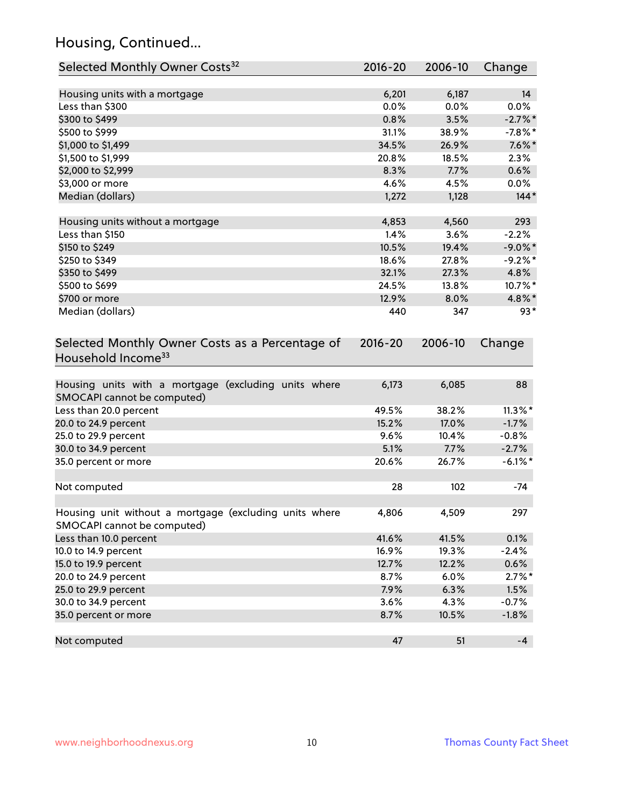# Housing, Continued...

| Selected Monthly Owner Costs <sup>32</sup>                                            | 2016-20     | 2006-10 | Change     |
|---------------------------------------------------------------------------------------|-------------|---------|------------|
| Housing units with a mortgage                                                         | 6,201       | 6,187   | 14         |
| Less than \$300                                                                       | 0.0%        | 0.0%    | 0.0%       |
| \$300 to \$499                                                                        | 0.8%        | 3.5%    | $-2.7\%$ * |
| \$500 to \$999                                                                        | 31.1%       | 38.9%   | $-7.8\%$ * |
| \$1,000 to \$1,499                                                                    | 34.5%       | 26.9%   | $7.6\%$ *  |
| \$1,500 to \$1,999                                                                    | 20.8%       | 18.5%   | 2.3%       |
| \$2,000 to \$2,999                                                                    | 8.3%        | 7.7%    | 0.6%       |
| \$3,000 or more                                                                       | 4.6%        | 4.5%    | $0.0\%$    |
| Median (dollars)                                                                      | 1,272       | 1,128   | $144*$     |
| Housing units without a mortgage                                                      | 4,853       | 4,560   | 293        |
| Less than \$150                                                                       | 1.4%        | 3.6%    | $-2.2%$    |
| \$150 to \$249                                                                        | 10.5%       | 19.4%   | $-9.0\%$ * |
| \$250 to \$349                                                                        | 18.6%       | 27.8%   | $-9.2%$ *  |
| \$350 to \$499                                                                        | 32.1%       | 27.3%   | 4.8%       |
| \$500 to \$699                                                                        | 24.5%       | 13.8%   | 10.7%*     |
| \$700 or more                                                                         | 12.9%       | 8.0%    | 4.8%*      |
| Median (dollars)                                                                      | 440         | 347     | $93*$      |
| Selected Monthly Owner Costs as a Percentage of<br>Household Income <sup>33</sup>     | $2016 - 20$ | 2006-10 | Change     |
| Housing units with a mortgage (excluding units where<br>SMOCAPI cannot be computed)   | 6,173       | 6,085   | 88         |
| Less than 20.0 percent                                                                | 49.5%       | 38.2%   | $11.3\%$ * |
| 20.0 to 24.9 percent                                                                  | 15.2%       | 17.0%   | $-1.7%$    |
| 25.0 to 29.9 percent                                                                  | 9.6%        | 10.4%   | $-0.8%$    |
| 30.0 to 34.9 percent                                                                  | 5.1%        | 7.7%    | $-2.7%$    |
| 35.0 percent or more                                                                  | 20.6%       | 26.7%   | $-6.1\%$ * |
| Not computed                                                                          | 28          | 102     | $-74$      |
| Housing unit without a mortgage (excluding units where<br>SMOCAPI cannot be computed) | 4,806       | 4,509   | 297        |
| Less than 10.0 percent                                                                | 41.6%       | 41.5%   | 0.1%       |
| 10.0 to 14.9 percent                                                                  | 16.9%       | 19.3%   | $-2.4%$    |
| 15.0 to 19.9 percent                                                                  | 12.7%       | 12.2%   | 0.6%       |
| 20.0 to 24.9 percent                                                                  | 8.7%        | 6.0%    | $2.7\%$ *  |
| 25.0 to 29.9 percent                                                                  | 7.9%        | 6.3%    | 1.5%       |
| 30.0 to 34.9 percent                                                                  | 3.6%        | 4.3%    | $-0.7%$    |
| 35.0 percent or more                                                                  | 8.7%        | 10.5%   | $-1.8%$    |
| Not computed                                                                          | 47          | 51      | $-4$       |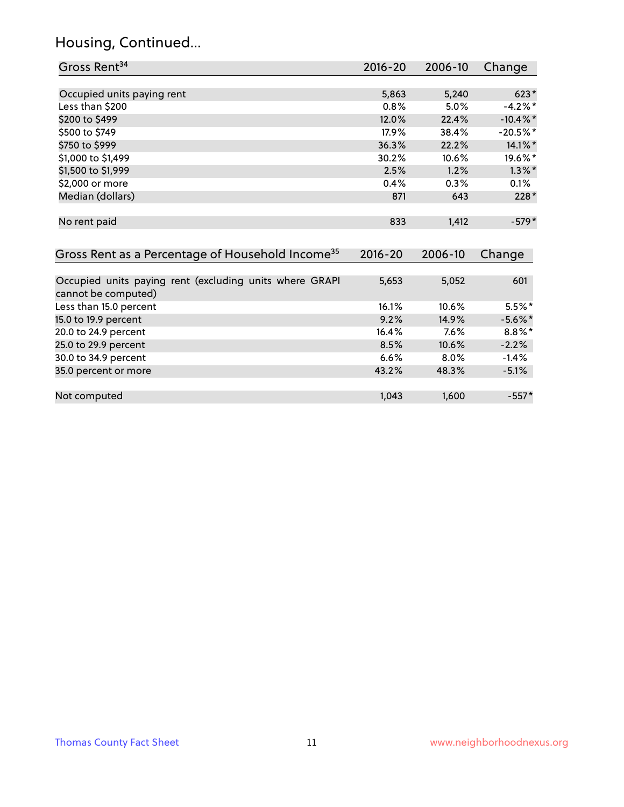# Housing, Continued...

| Gross Rent <sup>34</sup>                                                       | 2016-20     | 2006-10 | Change      |
|--------------------------------------------------------------------------------|-------------|---------|-------------|
|                                                                                |             |         |             |
| Occupied units paying rent                                                     | 5,863       | 5,240   | $623*$      |
| Less than \$200                                                                | 0.8%        | 5.0%    | $-4.2%$ *   |
| \$200 to \$499                                                                 | 12.0%       | 22.4%   | $-10.4\%$ * |
| \$500 to \$749                                                                 | 17.9%       | 38.4%   | $-20.5%$ *  |
| \$750 to \$999                                                                 | 36.3%       | 22.2%   | 14.1%*      |
| \$1,000 to \$1,499                                                             | 30.2%       | 10.6%   | 19.6%*      |
| \$1,500 to \$1,999                                                             | 2.5%        | 1.2%    | $1.3\%$ *   |
| \$2,000 or more                                                                | 0.4%        | 0.3%    | 0.1%        |
| Median (dollars)                                                               | 871         | 643     | $228*$      |
| No rent paid                                                                   | 833         | 1,412   | $-579*$     |
| Gross Rent as a Percentage of Household Income <sup>35</sup>                   | $2016 - 20$ | 2006-10 | Change      |
| Occupied units paying rent (excluding units where GRAPI<br>cannot be computed) | 5,653       | 5,052   | 601         |
| Less than 15.0 percent                                                         | 16.1%       | 10.6%   | $5.5%$ *    |
| 15.0 to 19.9 percent                                                           | 9.2%        | 14.9%   | $-5.6\%$ *  |
| 20.0 to 24.9 percent                                                           | 16.4%       | 7.6%    | $8.8\%$ *   |
| 25.0 to 29.9 percent                                                           | 8.5%        | 10.6%   | $-2.2%$     |
| 30.0 to 34.9 percent                                                           | 6.6%        | 8.0%    | $-1.4%$     |
| 35.0 percent or more                                                           | 43.2%       | 48.3%   | $-5.1%$     |
| Not computed                                                                   | 1,043       | 1,600   | $-557*$     |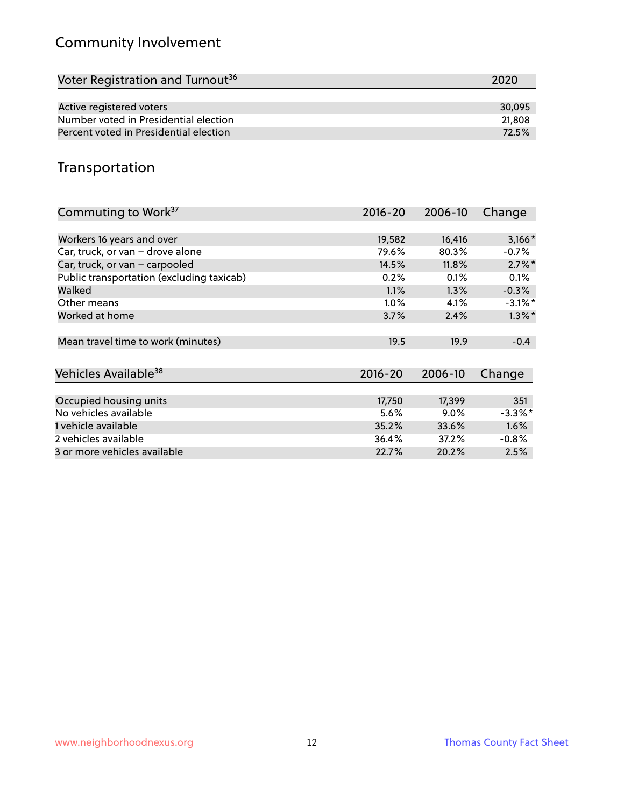# Community Involvement

| Voter Registration and Turnout <sup>36</sup> | 2020   |
|----------------------------------------------|--------|
|                                              |        |
| Active registered voters                     | 30.095 |
| Number voted in Presidential election        | 21,808 |
| Percent voted in Presidential election       | 72.5%  |

# Transportation

| Commuting to Work <sup>37</sup>           | 2016-20     | 2006-10 | Change     |
|-------------------------------------------|-------------|---------|------------|
|                                           |             |         |            |
| Workers 16 years and over                 | 19,582      | 16,416  | $3,166*$   |
| Car, truck, or van - drove alone          | 79.6%       | 80.3%   | $-0.7%$    |
| Car, truck, or van - carpooled            | 14.5%       | 11.8%   | $2.7\%$ *  |
| Public transportation (excluding taxicab) | 0.2%        | 0.1%    | 0.1%       |
| Walked                                    | 1.1%        | 1.3%    | $-0.3%$    |
| Other means                               | $1.0\%$     | 4.1%    | $-3.1\%$ * |
| Worked at home                            | 3.7%        | 2.4%    | $1.3\%$ *  |
|                                           |             |         |            |
| Mean travel time to work (minutes)        | 19.5        | 19.9    | $-0.4$     |
|                                           |             |         |            |
| Vehicles Available <sup>38</sup>          | $2016 - 20$ | 2006-10 | Change     |
|                                           |             |         |            |
| Occupied housing units                    | 17,750      | 17,399  | 351        |
| No vehicles available                     | 5.6%        | $9.0\%$ | $-3.3\%$ * |
| 1 vehicle available                       | 35.2%       | 33.6%   | 1.6%       |
| 2 vehicles available                      | 36.4%       | 37.2%   | $-0.8%$    |
| 3 or more vehicles available              | 22.7%       | 20.2%   | 2.5%       |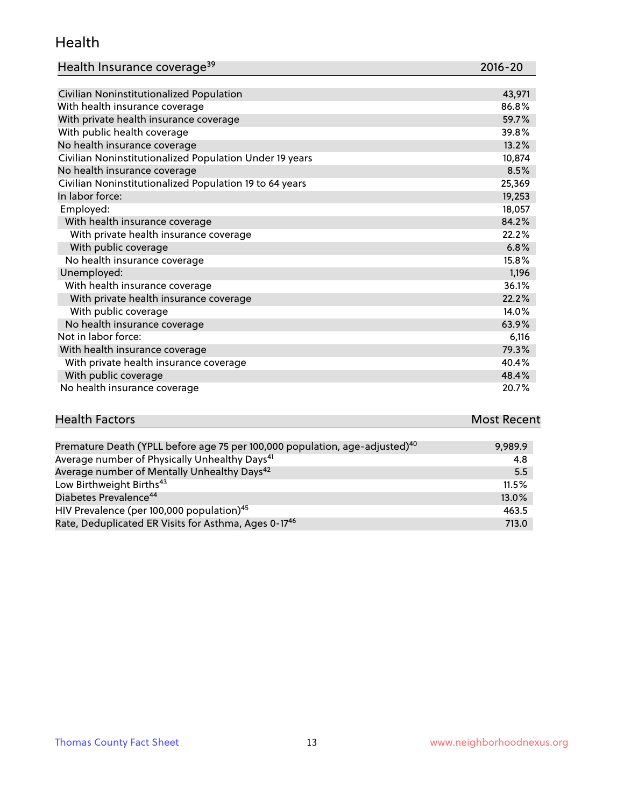#### Health

| Health Insurance coverage <sup>39</sup> | 2016-20 |
|-----------------------------------------|---------|
|-----------------------------------------|---------|

| Civilian Noninstitutionalized Population                | 43,971 |
|---------------------------------------------------------|--------|
| With health insurance coverage                          | 86.8%  |
| With private health insurance coverage                  | 59.7%  |
| With public health coverage                             | 39.8%  |
| No health insurance coverage                            | 13.2%  |
| Civilian Noninstitutionalized Population Under 19 years | 10,874 |
| No health insurance coverage                            | 8.5%   |
| Civilian Noninstitutionalized Population 19 to 64 years | 25,369 |
| In labor force:                                         | 19,253 |
| Employed:                                               | 18,057 |
| With health insurance coverage                          | 84.2%  |
| With private health insurance coverage                  | 22.2%  |
| With public coverage                                    | 6.8%   |
| No health insurance coverage                            | 15.8%  |
| Unemployed:                                             | 1,196  |
| With health insurance coverage                          | 36.1%  |
| With private health insurance coverage                  | 22.2%  |
| With public coverage                                    | 14.0%  |
| No health insurance coverage                            | 63.9%  |
| Not in labor force:                                     | 6,116  |
| With health insurance coverage                          | 79.3%  |
| With private health insurance coverage                  | 40.4%  |
| With public coverage                                    | 48.4%  |
| No health insurance coverage                            | 20.7%  |

# **Health Factors Most Recent** And The Control of the Control of The Control of The Control of The Control of The Control of The Control of The Control of The Control of The Control of The Control of The Control of The Contr

| Premature Death (YPLL before age 75 per 100,000 population, age-adjusted) <sup>40</sup> | 9,989.9 |
|-----------------------------------------------------------------------------------------|---------|
| Average number of Physically Unhealthy Days <sup>41</sup>                               | 4.8     |
| Average number of Mentally Unhealthy Days <sup>42</sup>                                 | 5.5     |
| Low Birthweight Births <sup>43</sup>                                                    | 11.5%   |
| Diabetes Prevalence <sup>44</sup>                                                       | 13.0%   |
| HIV Prevalence (per 100,000 population) <sup>45</sup>                                   | 463.5   |
| Rate, Deduplicated ER Visits for Asthma, Ages 0-17 <sup>46</sup>                        | 713.0   |